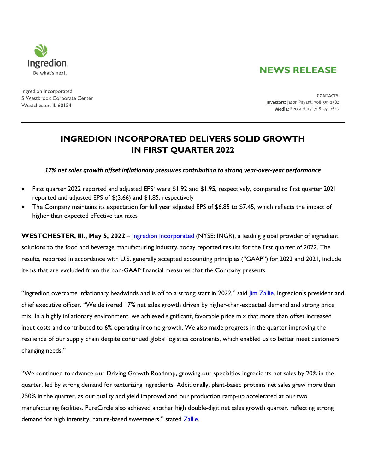# **NEWS RELEASE**



Ingredion Incorporated 5 Westbrook Corporate Center Westchester, IL 60154

CONTACTS: Investors: Jason Payant, 708-551-2584 Media: Becca Hary, 708-551-2602

## **INGREDION INCORPORATED DELIVERS SOLID GROWTH IN FIRST QUARTER 2022**

*17% net sales growth offset inflationary pressures contributing to strong year-over-year performance*

- First quarter 2022 reported and adjusted EPS\* were \$1.92 and \$1.95, respectively, compared to first quarter 2021 reported and adjusted EPS of \$(3.66) and \$1.85, respectively
- The Company maintains its expectation for full year adjusted EPS of \$6.85 to \$7.45, which reflects the impact of higher than expected effective tax rates

**WESTCHESTER, III., May 5, 2022** – *Ingredion Incorporated* (NYSE: INGR), a leading global provider of ingredient solutions to the food and beverage manufacturing industry, today reported results for the first quarter of 2022. The results, reported in accordance with U.S. generally accepted accounting principles ("GAAP") for 2022 and 2021, include items that are excluded from the non-GAAP financial measures that the Company presents.

"Ingredion overcame inflationary headwinds and is off to a strong start in 2022," said *lim Zallie*, Ingredion's president and chief executive officer. "We delivered 17% net sales growth driven by higher-than-expected demand and strong price mix. In a highly inflationary environment, we achieved significant, favorable price mix that more than offset increased input costs and contributed to 6% operating income growth. We also made progress in the quarter improving the resilience of our supply chain despite continued global logistics constraints, which enabled us to better meet customers' changing needs."

"We continued to advance our Driving Growth Roadmap, growing our specialties ingredients net sales by 20% in the quarter, led by strong demand for texturizing ingredients. Additionally, plant-based proteins net sales grew more than 250% in the quarter, as our quality and yield improved and our production ramp-up accelerated at our two manufacturing facilities. PureCircle also achieved another high double-digit net sales growth quarter, reflecting strong demand for high intensity, nature-based sweeteners," stated Zallie.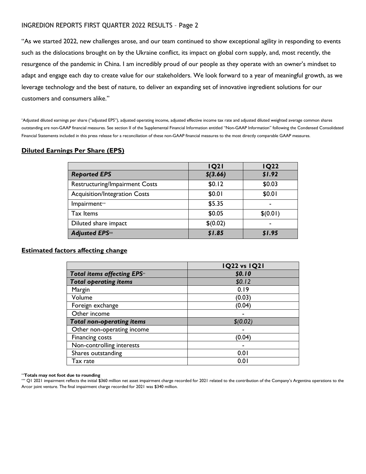"As we started 2022, new challenges arose, and our team continued to show exceptional agility in responding to events such as the dislocations brought on by the Ukraine conflict, its impact on global corn supply, and, most recently, the resurgence of the pandemic in China. I am incredibly proud of our people as they operate with an owner's mindset to adapt and engage each day to create value for our stakeholders. We look forward to a year of meaningful growth, as we leverage technology and the best of nature, to deliver an expanding set of innovative ingredient solutions for our customers and consumers alike."

\*Adjusted diluted earnings per share ("adjusted EPS"), adjusted operating income, adjusted effective income tax rate and adjusted diluted weighted average common shares outstanding are non-GAAP financial measures. See section II of the Supplemental Financial Information entitled "Non-GAAP Information" following the Condensed Consolidated Financial Statements included in this press release for a reconciliation of these non-GAAP financial measures to the most directly comparable GAAP measures.

#### **Diluted Earnings Per Share (EPS)**

|                                      | <b>IQ21</b> | <b>IQ22</b> |
|--------------------------------------|-------------|-------------|
| <b>Reported EPS</b>                  | $$$ (3.66)  | \$1.92      |
| Restructuring/Impairment Costs       | \$0.12      | \$0.03      |
| <b>Acquisition/Integration Costs</b> | \$0.01      | \$0.01      |
| Impairment**                         | \$5.35      |             |
| Tax Items                            | \$0.05      | \$(0.01)    |
| Diluted share impact                 | \$(0.02)    | -           |
| <b>Adjusted EPS**</b>                | \$1.85      | \$1.95      |

## **Estimated factors affecting change**

|                                  | <b>IQ22 vs IQ21</b> |
|----------------------------------|---------------------|
| Total items affecting EPS**      | \$0.10              |
| <b>Total operating items</b>     | \$0.12              |
| Margin                           | 0.19                |
| Volume                           | (0.03)              |
| Foreign exchange                 | (0.04)              |
| Other income                     |                     |
| <b>Total non-operating items</b> | \$(0.02)            |
| Other non-operating income       |                     |
| Financing costs                  | (0.04)              |
| Non-controlling interests        |                     |
| Shares outstanding               | 0.0                 |
| Tax rate                         | 0.0                 |

#### \*\***Totals may not foot due to rounding**

\*\*\* Q1 2021 impairment reflects the initial \$360 million net asset impairment charge recorded for 2021 related to the contribution of the Company's Argentina operations to the Arcor joint venture. The final impairment charge recorded for 2021 was \$340 million.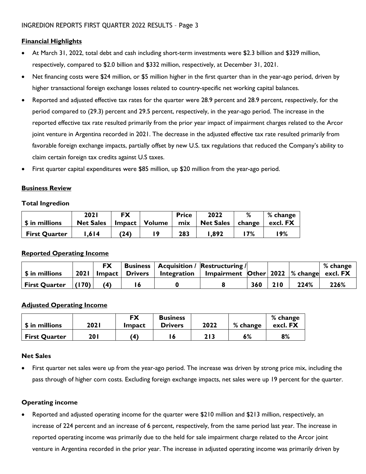## **Financial Highlights**

- At March 31, 2022, total debt and cash including short-term investments were \$2.3 billion and \$329 million, respectively, compared to \$2.0 billion and \$332 million, respectively, at December 31, 2021.
- Net financing costs were \$24 million, or \$5 million higher in the first quarter than in the year-ago period, driven by higher transactional foreign exchange losses related to country-specific net working capital balances.
- Reported and adjusted effective tax rates for the quarter were 28.9 percent and 28.9 percent, respectively, for the period compared to (29.3) percent and 29.5 percent, respectively, in the year-ago period. The increase in the reported effective tax rate resulted primarily from the prior year impact of impairment charges related to the Arcor joint venture in Argentina recorded in 2021. The decrease in the adjusted effective tax rate resulted primarily from favorable foreign exchange impacts, partially offset by new U.S. tax regulations that reduced the Company's ability to claim certain foreign tax credits against U.S taxes.
- First quarter capital expenditures were \$85 million, up \$20 million from the year-ago period.

#### **Business Review**

#### **Total Ingredion**

|                      | 202 I            | <b>FX</b>          |               | <b>Price</b> | 2022             | %      | % change |
|----------------------|------------------|--------------------|---------------|--------------|------------------|--------|----------|
| \$ in millions       | <b>Net Sales</b> | $Im$ pact $\vdash$ | <b>Volume</b> | mix          | <b>Net Sales</b> | change | excl. FX |
| <b>First Quarter</b> | .614             | (24)               | و ا           | 283          | .892             | 7%     | 19%      |

## **Reported Operating Income**

|                            |             | <b>FX</b> |                |                    | <b>Business   Acquisition / Restructuring /</b>         |     |     |      | % change |
|----------------------------|-------------|-----------|----------------|--------------------|---------------------------------------------------------|-----|-----|------|----------|
| \$ in millions             | <b>2021</b> |           | Impact Drivers | <b>Integration</b> | Impairment $\vert$ Other 2022 $\vert\%$ change excl. FX |     |     |      |          |
| $ First$ Quarter $ (170) $ |             | (4)       | l 6            |                    |                                                         | 360 | 210 | 224% | 226%     |

## **Adjusted Operating Income**

|                      |      | FX            | <b>Business</b> |      |          | % change |
|----------------------|------|---------------|-----------------|------|----------|----------|
| \$ in millions       | 2021 | <b>Impact</b> | <b>Drivers</b>  | 2022 | % change | excl. FX |
| <b>First Quarter</b> | 201  | (4)           | 6               | 213  | 6%       | 8%       |

#### **Net Sales**

• First quarter net sales were up from the year-ago period. The increase was driven by strong price mix, including the pass through of higher corn costs. Excluding foreign exchange impacts, net sales were up 19 percent for the quarter.

#### **Operating income**

• Reported and adjusted operating income for the quarter were \$210 million and \$213 million, respectively, an increase of 224 percent and an increase of 6 percent, respectively, from the same period last year. The increase in reported operating income was primarily due to the held for sale impairment charge related to the Arcor joint venture in Argentina recorded in the prior year. The increase in adjusted operating income was primarily driven by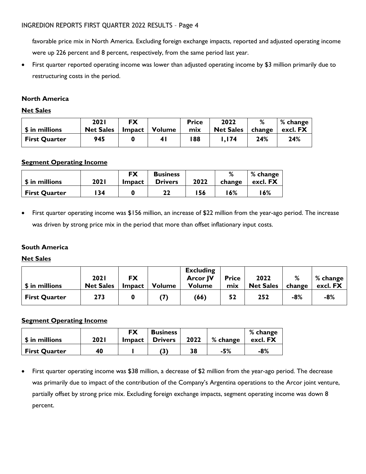favorable price mix in North America. Excluding foreign exchange impacts, reported and adjusted operating income were up 226 percent and 8 percent, respectively, from the same period last year.

• First quarter reported operating income was lower than adjusted operating income by \$3 million primarily due to restructuring costs in the period.

## **North America**

## **Net Sales**

|                      | <b>2021</b>      | <b>FX</b>     |        | <b>Price</b> | 2022             | %      | % change |
|----------------------|------------------|---------------|--------|--------------|------------------|--------|----------|
| \$ in millions       | <b>Net Sales</b> | <b>Impact</b> | Volume | mix          | <b>Net Sales</b> | change | excl. FX |
| <b>First Quarter</b> | 945              |               | 4 I    | 188          | I.I74            | 24%    | 24%      |

## **Segment Operating Income**

|                      |       | FX     | <b>Business</b> |      | %      | % change |
|----------------------|-------|--------|-----------------|------|--------|----------|
| \$ in millions       | 202 I | Impact | <b>Drivers</b>  | 2022 | change | excl. FX |
| <b>First Quarter</b> | 134   |        | 22              | .56  | 6%     | l 6%     |

• First quarter operating income was \$156 million, an increase of \$22 million from the year-ago period. The increase was driven by strong price mix in the period that more than offset inflationary input costs.

## **South America**

## **Net Sales**

| \$ in millions       | <b>2021</b><br><b>Net Sales</b> | <b>FX</b><br>$Im$ pact | <b>Volume</b> | <b>Excluding</b><br><b>Arcor JV</b><br><b>Volume</b> | <b>Price</b><br>mix | 2022<br><b>Net Sales</b> | %<br>change | $%$ change<br>excl. FX |
|----------------------|---------------------------------|------------------------|---------------|------------------------------------------------------|---------------------|--------------------------|-------------|------------------------|
| <b>First Quarter</b> | 273                             |                        |               | (66)                                                 | 52                  | 252                      | $-8%$       | $-8%$                  |

## **Segment Operating Income**

| \$ in millions       | 202 I | <b>FX</b><br>Impact | <b>Business</b><br><b>Drivers</b> | 2022 | % change | % change<br>excl. FX |
|----------------------|-------|---------------------|-----------------------------------|------|----------|----------------------|
| <b>First Quarter</b> | 40    |                     | (3)                               | 38   | -5%      | -8%                  |

• First quarter operating income was \$38 million, a decrease of \$2 million from the year-ago period. The decrease was primarily due to impact of the contribution of the Company's Argentina operations to the Arcor joint venture, partially offset by strong price mix. Excluding foreign exchange impacts, segment operating income was down 8 percent.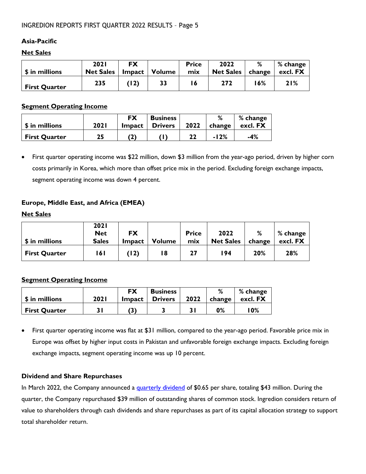## **Asia-Pacific**

## **Net Sales**

| \$ in millions       | <b>2021</b><br><b>Net Sales</b> | <b>FX</b><br>$Im$ pact $ $ | Volume | <b>Price</b><br>mix | 2022<br><b>Net Sales</b> | %<br>change | % change<br>excl. FX |
|----------------------|---------------------------------|----------------------------|--------|---------------------|--------------------------|-------------|----------------------|
| <b>First Quarter</b> | 235                             | (12)                       | 33     | ۱6                  | 272                      | 6% ا        | 21%                  |

#### **Segment Operating Income**

| \$ in millions       | 2021 | <b>FX</b><br>$Im$ pact $\parallel$ | <b>Business</b><br><b>Drivers</b> | 2022 | change | % change<br>excl. FX |
|----------------------|------|------------------------------------|-----------------------------------|------|--------|----------------------|
| <b>First Quarter</b> | 25   |                                    |                                   | 22   | $-12%$ | -4%                  |

• First quarter operating income was \$22 million, down \$3 million from the year-ago period, driven by higher corn costs primarily in Korea, which more than offset price mix in the period. Excluding foreign exchange impacts, segment operating income was down 4 percent.

## **Europe, Middle East, and Africa (EMEA)**

#### **Net Sales**

| \$ in millions       | <b>2021</b><br><b>Net</b><br><b>Sales</b> | <b>FX</b><br><b>Impact</b> | <b>Volume</b> | <b>Price</b><br>mix | 2022<br><b>Net Sales</b> | %<br>change | % change<br>excl. FX |
|----------------------|-------------------------------------------|----------------------------|---------------|---------------------|--------------------------|-------------|----------------------|
| <b>First Quarter</b> | l 6 I                                     | (12)                       | 18            | 27                  | 194                      | 20%         | 28%                  |

## **Segment Operating Income**

| \$ in millions       | <b>2021</b> | <b>FX</b><br>Impact 1 | <b>Business</b><br><b>Drivers</b> | 2022 | ∘<br>change    | % change<br>excl. FX |
|----------------------|-------------|-----------------------|-----------------------------------|------|----------------|----------------------|
| <b>First Quarter</b> |             |                       |                                   |      | 0 <sub>6</sub> | 0%                   |

• First quarter operating income was flat at \$31 million, compared to the year-ago period. Favorable price mix in Europe was offset by higher input costs in Pakistan and unfavorable foreign exchange impacts. Excluding foreign exchange impacts, segment operating income was up 10 percent.

## **Dividend and Share Repurchases**

In March 2022, the Company announced a quarterly dividend of \$0.65 per share, totaling \$43 million. During the quarter, the Company repurchased \$39 million of outstanding shares of common stock. Ingredion considers return of value to shareholders through cash dividends and share repurchases as part of its capital allocation strategy to support total shareholder return.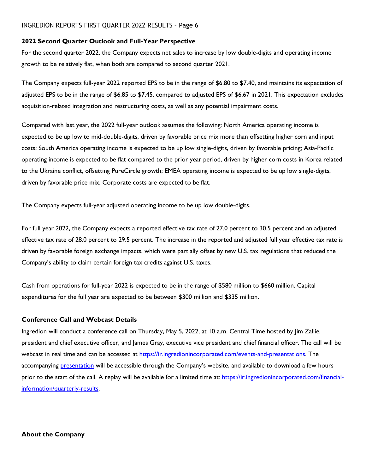#### **2022 Second Quarter Outlook and Full-Year Perspective**

For the second quarter 2022, the Company expects net sales to increase by low double-digits and operating income growth to be relatively flat, when both are compared to second quarter 2021.

The Company expects full-year 2022 reported EPS to be in the range of \$6.80 to \$7.40, and maintains its expectation of adjusted EPS to be in the range of \$6.85 to \$7.45, compared to adjusted EPS of \$6.67 in 2021. This expectation excludes acquisition-related integration and restructuring costs, as well as any potential impairment costs.

Compared with last year, the 2022 full-year outlook assumes the following: North America operating income is expected to be up low to mid-double-digits, driven by favorable price mix more than offsetting higher corn and input costs; South America operating income is expected to be up low single-digits, driven by favorable pricing; Asia-Pacific operating income is expected to be flat compared to the prior year period, driven by higher corn costs in Korea related to the Ukraine conflict, offsetting PureCircle growth; EMEA operating income is expected to be up low single-digits, driven by favorable price mix. Corporate costs are expected to be flat.

The Company expects full-year adjusted operating income to be up low double-digits.

For full year 2022, the Company expects a reported effective tax rate of 27.0 percent to 30.5 percent and an adjusted effective tax rate of 28.0 percent to 29.5 percent. The increase in the reported and adjusted full year effective tax rate is driven by favorable foreign exchange impacts, which were partially offset by new U.S. tax regulations that reduced the Company's ability to claim certain foreign tax credits against U.S. taxes.

Cash from operations for full-year 2022 is expected to be in the range of \$580 million to \$660 million. Capital expenditures for the full year are expected to be between \$300 million and \$335 million.

#### **Conference Call and Webcast Details**

Ingredion will conduct a conference call on Thursday, May 5, 2022, at 10 a.m. Central Time hosted by Jim Zallie, president and chief executive officer, and James Gray, executive vice president and chief financial officer. The call will be webcast in real time and can be accessed at https://ir.ingredionincorporated.com/events-and-presentations. The accompanying **presentation** will be accessible through the Company's website, and available to download a few hours prior to the start of the call. A replay will be available for a limited time at: https://ir.ingredionincorporated.com/financialinformation/quarterly-results.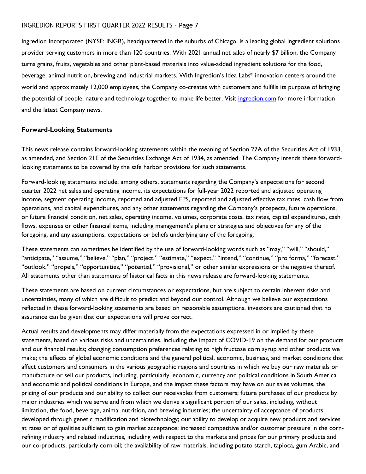Ingredion Incorporated (NYSE: INGR), headquartered in the suburbs of Chicago, is a leading global ingredient solutions provider serving customers in more than 120 countries. With 2021 annual net sales of nearly \$7 billion, the Company turns grains, fruits, vegetables and other plant-based materials into value-added ingredient solutions for the food, beverage, animal nutrition, brewing and industrial markets. With Ingredion's Idea Labs® innovation centers around the world and approximately 12,000 employees, the Company co-creates with customers and fulfills its purpose of bringing the potential of people, nature and technology together to make life better. Visit *ingredion.com* for more information and the latest Company news.

#### **Forward-Looking Statements**

This news release contains forward-looking statements within the meaning of Section 27A of the Securities Act of 1933, as amended, and Section 21E of the Securities Exchange Act of 1934, as amended. The Company intends these forwardlooking statements to be covered by the safe harbor provisions for such statements.

Forward-looking statements include, among others, statements regarding the Company's expectations for second quarter 2022 net sales and operating income, its expectations for full-year 2022 reported and adjusted operating income, segment operating income, reported and adjusted EPS, reported and adjusted effective tax rates, cash flow from operations, and capital expenditures, and any other statements regarding the Company's prospects, future operations, or future financial condition, net sales, operating income, volumes, corporate costs, tax rates, capital expenditures, cash flows, expenses or other financial items, including management's plans or strategies and objectives for any of the foregoing, and any assumptions, expectations or beliefs underlying any of the foregoing.

These statements can sometimes be identified by the use of forward-looking words such as "may," "will," "should," "anticipate," "assume," "believe," "plan," "project," "estimate," "expect," "intend," "continue," "pro forma," "forecast," "outlook," "propels," "opportunities," "potential," "provisional," or other similar expressions or the negative thereof. All statements other than statements of historical facts in this news release are forward-looking statements.

These statements are based on current circumstances or expectations, but are subject to certain inherent risks and uncertainties, many of which are difficult to predict and beyond our control. Although we believe our expectations reflected in these forward-looking statements are based on reasonable assumptions, investors are cautioned that no assurance can be given that our expectations will prove correct.

Actual results and developments may differ materially from the expectations expressed in or implied by these statements, based on various risks and uncertainties, including the impact of COVID-19 on the demand for our products and our financial results; changing consumption preferences relating to high fructose corn syrup and other products we make; the effects of global economic conditions and the general political, economic, business, and market conditions that affect customers and consumers in the various geographic regions and countries in which we buy our raw materials or manufacture or sell our products, including, particularly, economic, currency and political conditions in South America and economic and political conditions in Europe, and the impact these factors may have on our sales volumes, the pricing of our products and our ability to collect our receivables from customers; future purchases of our products by major industries which we serve and from which we derive a significant portion of our sales, including, without limitation, the food, beverage, animal nutrition, and brewing industries; the uncertainty of acceptance of products developed through genetic modification and biotechnology; our ability to develop or acquire new products and services at rates or of qualities sufficient to gain market acceptance; increased competitive and/or customer pressure in the cornrefining industry and related industries, including with respect to the markets and prices for our primary products and our co-products, particularly corn oil; the availability of raw materials, including potato starch, tapioca, gum Arabic, and